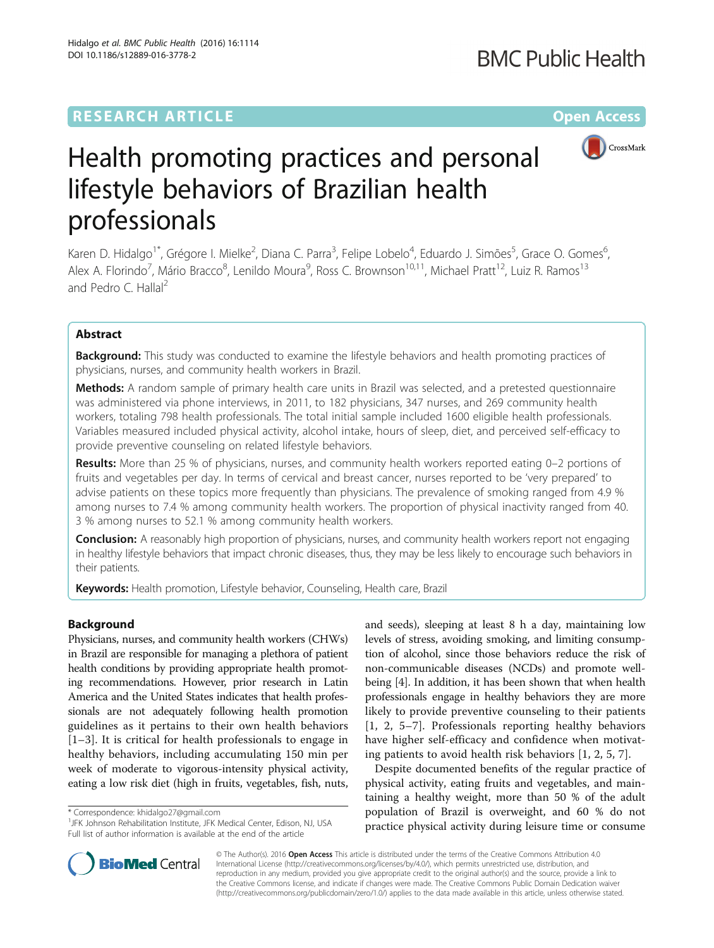DOI 10.1186/s12889-016-3778-2

Hidalgo et al. BMC Public Health (2016) 16:1114



# Health promoting practices and personal lifestyle behaviors of Brazilian health professionals

Karen D. Hidalgo<sup>1\*</sup>, Grégore I. Mielke<sup>2</sup>, Diana C. Parra<sup>3</sup>, Felipe Lobelo<sup>4</sup>, Eduardo J. Simões<sup>5</sup>, Grace O. Gomes<sup>6</sup> .<br>, Alex A. Florindo<sup>7</sup>, Mário Bracco<sup>8</sup>, Lenildo Moura<sup>9</sup>, Ross C. Brownson<sup>10,11</sup>, Michael Pratt<sup>12</sup>, Luiz R. Ramos<sup>13</sup> and Pedro C. Hallal<sup>2</sup>

# Abstract

**Background:** This study was conducted to examine the lifestyle behaviors and health promoting practices of physicians, nurses, and community health workers in Brazil.

Methods: A random sample of primary health care units in Brazil was selected, and a pretested questionnaire was administered via phone interviews, in 2011, to 182 physicians, 347 nurses, and 269 community health workers, totaling 798 health professionals. The total initial sample included 1600 eligible health professionals. Variables measured included physical activity, alcohol intake, hours of sleep, diet, and perceived self-efficacy to provide preventive counseling on related lifestyle behaviors.

Results: More than 25 % of physicians, nurses, and community health workers reported eating 0-2 portions of fruits and vegetables per day. In terms of cervical and breast cancer, nurses reported to be 'very prepared' to advise patients on these topics more frequently than physicians. The prevalence of smoking ranged from 4.9 % among nurses to 7.4 % among community health workers. The proportion of physical inactivity ranged from 40. 3 % among nurses to 52.1 % among community health workers.

**Conclusion:** A reasonably high proportion of physicians, nurses, and community health workers report not engaging in healthy lifestyle behaviors that impact chronic diseases, thus, they may be less likely to encourage such behaviors in their patients.

Keywords: Health promotion, Lifestyle behavior, Counseling, Health care, Brazil

# Background

Physicians, nurses, and community health workers (CHWs) in Brazil are responsible for managing a plethora of patient health conditions by providing appropriate health promoting recommendations. However, prior research in Latin America and the United States indicates that health professionals are not adequately following health promotion guidelines as it pertains to their own health behaviors [[1](#page-8-0)–[3\]](#page-8-0). It is critical for health professionals to engage in healthy behaviors, including accumulating 150 min per week of moderate to vigorous-intensity physical activity, eating a low risk diet (high in fruits, vegetables, fish, nuts,

\* Correspondence: [khidalgo27@gmail.com](mailto:khidalgo27@gmail.com) <sup>1</sup>

<sup>1</sup> JFK Johnson Rehabilitation Institute, JFK Medical Center, Edison, NJ, USA Full list of author information is available at the end of the article

and seeds), sleeping at least 8 h a day, maintaining low levels of stress, avoiding smoking, and limiting consumption of alcohol, since those behaviors reduce the risk of non-communicable diseases (NCDs) and promote wellbeing [[4](#page-8-0)]. In addition, it has been shown that when health professionals engage in healthy behaviors they are more likely to provide preventive counseling to their patients [[1, 2, 5](#page-8-0)–[7](#page-8-0)]. Professionals reporting healthy behaviors have higher self-efficacy and confidence when motivating patients to avoid health risk behaviors [[1, 2, 5, 7](#page-8-0)].

Despite documented benefits of the regular practice of physical activity, eating fruits and vegetables, and maintaining a healthy weight, more than 50 % of the adult population of Brazil is overweight, and 60 % do not practice physical activity during leisure time or consume



© The Author(s). 2016 Open Access This article is distributed under the terms of the Creative Commons Attribution 4.0 International License [\(http://creativecommons.org/licenses/by/4.0/](http://creativecommons.org/licenses/by/4.0/)), which permits unrestricted use, distribution, and reproduction in any medium, provided you give appropriate credit to the original author(s) and the source, provide a link to the Creative Commons license, and indicate if changes were made. The Creative Commons Public Domain Dedication waiver [\(http://creativecommons.org/publicdomain/zero/1.0/](http://creativecommons.org/publicdomain/zero/1.0/)) applies to the data made available in this article, unless otherwise stated.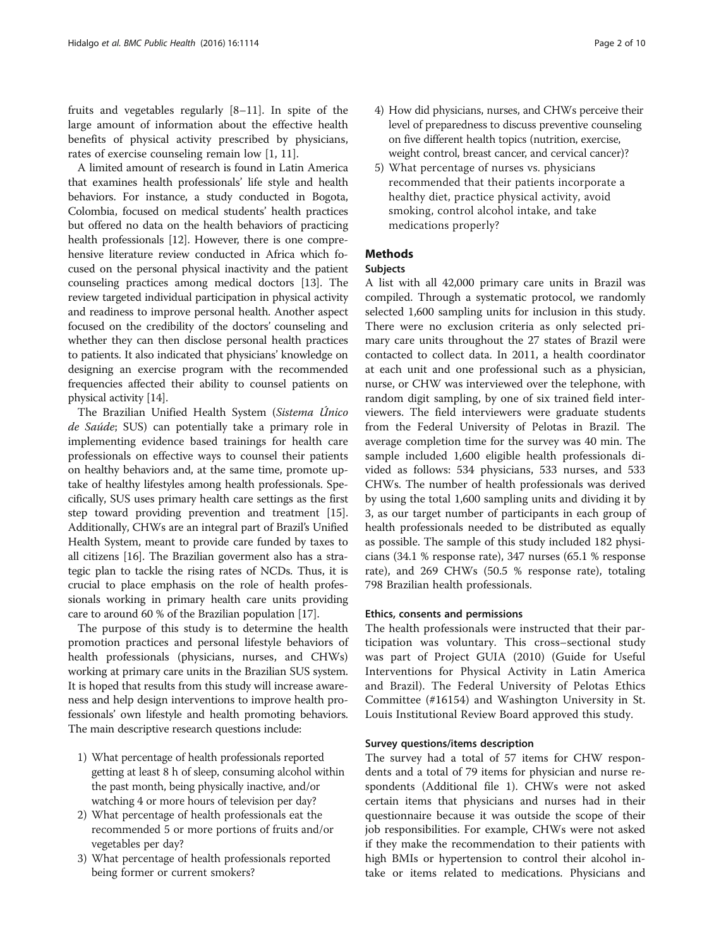fruits and vegetables regularly [[8](#page-8-0)–[11](#page-9-0)]. In spite of the large amount of information about the effective health benefits of physical activity prescribed by physicians, rates of exercise counseling remain low [\[1](#page-8-0), [11](#page-9-0)].

A limited amount of research is found in Latin America that examines health professionals' life style and health behaviors. For instance, a study conducted in Bogota, Colombia, focused on medical students' health practices but offered no data on the health behaviors of practicing health professionals [[12](#page-9-0)]. However, there is one comprehensive literature review conducted in Africa which focused on the personal physical inactivity and the patient counseling practices among medical doctors [\[13\]](#page-9-0). The review targeted individual participation in physical activity and readiness to improve personal health. Another aspect focused on the credibility of the doctors' counseling and whether they can then disclose personal health practices to patients. It also indicated that physicians' knowledge on designing an exercise program with the recommended frequencies affected their ability to counsel patients on physical activity [\[14](#page-9-0)].

The Brazilian Unified Health System (Sistema Único de Saúde; SUS) can potentially take a primary role in implementing evidence based trainings for health care professionals on effective ways to counsel their patients on healthy behaviors and, at the same time, promote uptake of healthy lifestyles among health professionals. Specifically, SUS uses primary health care settings as the first step toward providing prevention and treatment [[15](#page-9-0)]. Additionally, CHWs are an integral part of Brazil's Unified Health System, meant to provide care funded by taxes to all citizens [\[16\]](#page-9-0). The Brazilian goverment also has a strategic plan to tackle the rising rates of NCDs. Thus, it is crucial to place emphasis on the role of health professionals working in primary health care units providing care to around 60 % of the Brazilian population [[17](#page-9-0)].

The purpose of this study is to determine the health promotion practices and personal lifestyle behaviors of health professionals (physicians, nurses, and CHWs) working at primary care units in the Brazilian SUS system. It is hoped that results from this study will increase awareness and help design interventions to improve health professionals' own lifestyle and health promoting behaviors. The main descriptive research questions include:

- 1) What percentage of health professionals reported getting at least 8 h of sleep, consuming alcohol within the past month, being physically inactive, and/or watching 4 or more hours of television per day?
- 2) What percentage of health professionals eat the recommended 5 or more portions of fruits and/or vegetables per day?
- 3) What percentage of health professionals reported being former or current smokers?
- 4) How did physicians, nurses, and CHWs perceive their level of preparedness to discuss preventive counseling on five different health topics (nutrition, exercise, weight control, breast cancer, and cervical cancer)?
- 5) What percentage of nurses vs. physicians recommended that their patients incorporate a healthy diet, practice physical activity, avoid smoking, control alcohol intake, and take medications properly?

# **Methods**

# Subjects

A list with all 42,000 primary care units in Brazil was compiled. Through a systematic protocol, we randomly selected 1,600 sampling units for inclusion in this study. There were no exclusion criteria as only selected primary care units throughout the 27 states of Brazil were contacted to collect data. In 2011, a health coordinator at each unit and one professional such as a physician, nurse, or CHW was interviewed over the telephone, with random digit sampling, by one of six trained field interviewers. The field interviewers were graduate students from the Federal University of Pelotas in Brazil. The average completion time for the survey was 40 min. The sample included 1,600 eligible health professionals divided as follows: 534 physicians, 533 nurses, and 533 CHWs. The number of health professionals was derived by using the total 1,600 sampling units and dividing it by 3, as our target number of participants in each group of health professionals needed to be distributed as equally as possible. The sample of this study included 182 physicians (34.1 % response rate), 347 nurses (65.1 % response rate), and 269 CHWs (50.5 % response rate), totaling 798 Brazilian health professionals.

# Ethics, consents and permissions

The health professionals were instructed that their participation was voluntary. This cross–sectional study was part of Project GUIA (2010) (Guide for Useful Interventions for Physical Activity in Latin America and Brazil). The Federal University of Pelotas Ethics Committee (#16154) and Washington University in St. Louis Institutional Review Board approved this study.

# Survey questions/items description

The survey had a total of 57 items for CHW respondents and a total of 79 items for physician and nurse respondents (Additional file [1\)](#page-8-0). CHWs were not asked certain items that physicians and nurses had in their questionnaire because it was outside the scope of their job responsibilities. For example, CHWs were not asked if they make the recommendation to their patients with high BMIs or hypertension to control their alcohol intake or items related to medications. Physicians and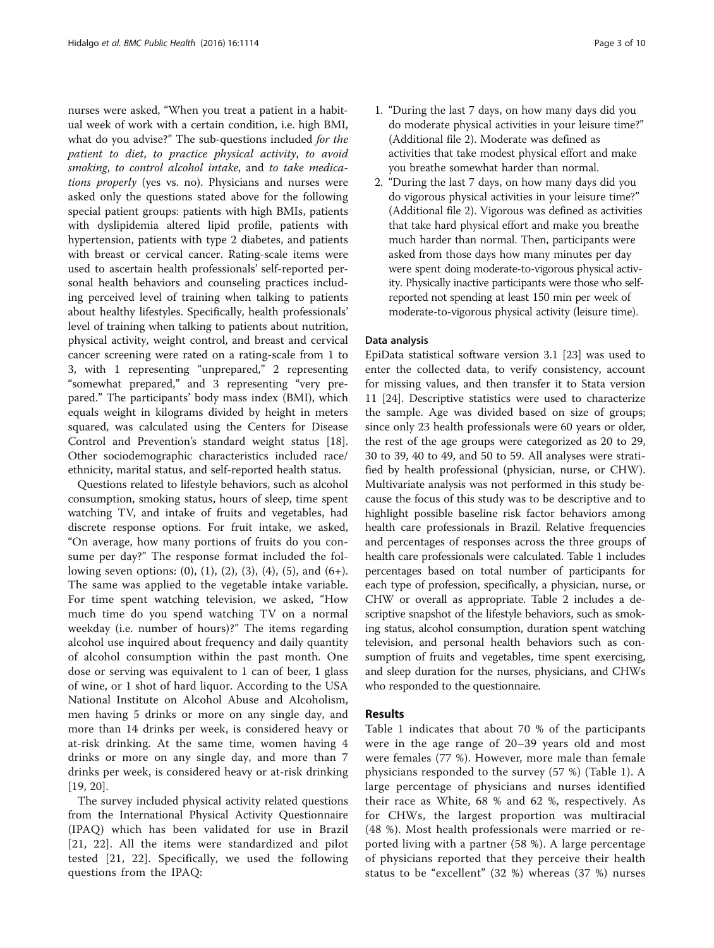nurses were asked, "When you treat a patient in a habitual week of work with a certain condition, i.e. high BMI, what do you advise?" The sub-questions included for the patient to diet, to practice physical activity, to avoid smoking, to control alcohol intake, and to take medications properly (yes vs. no). Physicians and nurses were asked only the questions stated above for the following special patient groups: patients with high BMIs, patients with dyslipidemia altered lipid profile, patients with hypertension, patients with type 2 diabetes, and patients with breast or cervical cancer. Rating-scale items were used to ascertain health professionals' self-reported personal health behaviors and counseling practices including perceived level of training when talking to patients about healthy lifestyles. Specifically, health professionals' level of training when talking to patients about nutrition, physical activity, weight control, and breast and cervical cancer screening were rated on a rating-scale from 1 to 3, with 1 representing "unprepared," 2 representing "somewhat prepared," and 3 representing "very prepared." The participants' body mass index (BMI), which equals weight in kilograms divided by height in meters squared, was calculated using the Centers for Disease Control and Prevention's standard weight status [\[18](#page-9-0)]. Other sociodemographic characteristics included race/ ethnicity, marital status, and self-reported health status.

Questions related to lifestyle behaviors, such as alcohol consumption, smoking status, hours of sleep, time spent watching TV, and intake of fruits and vegetables, had discrete response options. For fruit intake, we asked, "On average, how many portions of fruits do you consume per day?" The response format included the following seven options:  $(0)$ ,  $(1)$ ,  $(2)$ ,  $(3)$ ,  $(4)$ ,  $(5)$ , and  $(6+)$ . The same was applied to the vegetable intake variable. For time spent watching television, we asked, "How much time do you spend watching TV on a normal weekday (i.e. number of hours)?" The items regarding alcohol use inquired about frequency and daily quantity of alcohol consumption within the past month. One dose or serving was equivalent to 1 can of beer, 1 glass of wine, or 1 shot of hard liquor. According to the USA National Institute on Alcohol Abuse and Alcoholism, men having 5 drinks or more on any single day, and more than 14 drinks per week, is considered heavy or at-risk drinking. At the same time, women having 4 drinks or more on any single day, and more than 7 drinks per week, is considered heavy or at-risk drinking [[19, 20](#page-9-0)].

The survey included physical activity related questions from the International Physical Activity Questionnaire (IPAQ) which has been validated for use in Brazil [[21](#page-9-0), [22](#page-9-0)]. All the items were standardized and pilot tested [\[21, 22](#page-9-0)]. Specifically, we used the following questions from the IPAQ:

- 1. "During the last 7 days, on how many days did you do moderate physical activities in your leisure time?" (Additional file [2](#page-8-0)). Moderate was defined as activities that take modest physical effort and make you breathe somewhat harder than normal.
- 2. "During the last 7 days, on how many days did you do vigorous physical activities in your leisure time?" (Additional file [2](#page-8-0)). Vigorous was defined as activities that take hard physical effort and make you breathe much harder than normal. Then, participants were asked from those days how many minutes per day were spent doing moderate-to-vigorous physical activity. Physically inactive participants were those who selfreported not spending at least 150 min per week of moderate-to-vigorous physical activity (leisure time).

# Data analysis

EpiData statistical software version 3.1 [\[23](#page-9-0)] was used to enter the collected data, to verify consistency, account for missing values, and then transfer it to Stata version 11 [[24\]](#page-9-0). Descriptive statistics were used to characterize the sample. Age was divided based on size of groups; since only 23 health professionals were 60 years or older, the rest of the age groups were categorized as 20 to 29, 30 to 39, 40 to 49, and 50 to 59. All analyses were stratified by health professional (physician, nurse, or CHW). Multivariate analysis was not performed in this study because the focus of this study was to be descriptive and to highlight possible baseline risk factor behaviors among health care professionals in Brazil. Relative frequencies and percentages of responses across the three groups of health care professionals were calculated. Table [1](#page-3-0) includes percentages based on total number of participants for each type of profession, specifically, a physician, nurse, or CHW or overall as appropriate. Table [2](#page-4-0) includes a descriptive snapshot of the lifestyle behaviors, such as smoking status, alcohol consumption, duration spent watching television, and personal health behaviors such as consumption of fruits and vegetables, time spent exercising, and sleep duration for the nurses, physicians, and CHWs who responded to the questionnaire.

# Results

Table [1](#page-3-0) indicates that about 70 % of the participants were in the age range of 20–39 years old and most were females (77 %). However, more male than female physicians responded to the survey (57 %) (Table [1\)](#page-3-0). A large percentage of physicians and nurses identified their race as White, 68 % and 62 %, respectively. As for CHWs, the largest proportion was multiracial (48 %). Most health professionals were married or reported living with a partner (58 %). A large percentage of physicians reported that they perceive their health status to be "excellent" (32 %) whereas (37 %) nurses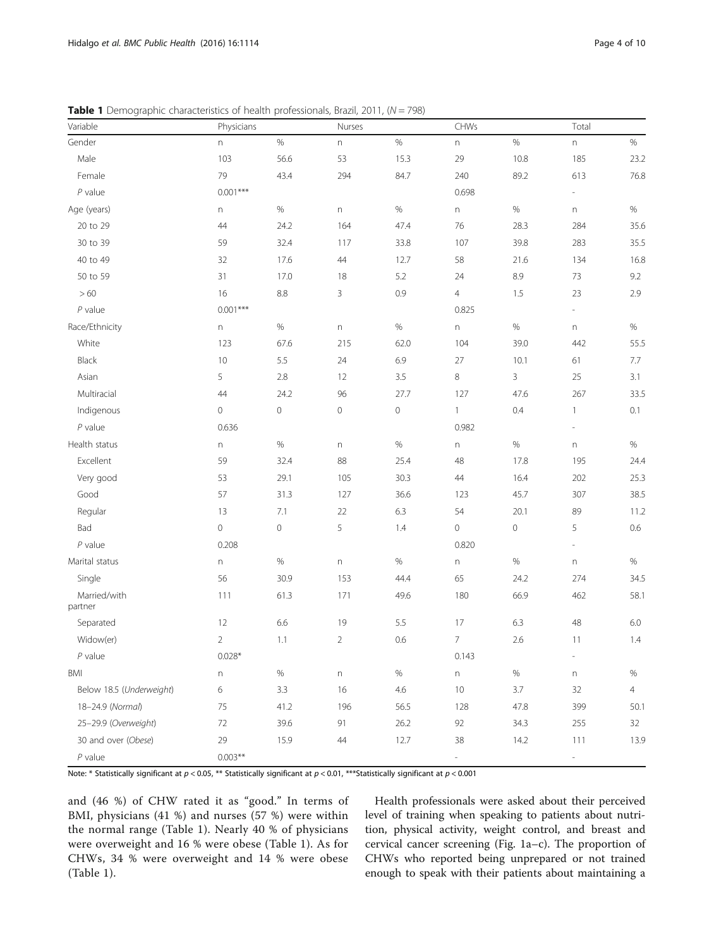| Variable                 | Physicians                |           | Nurses                    |             | CHWs                      |                     | Total                     |                |
|--------------------------|---------------------------|-----------|---------------------------|-------------|---------------------------|---------------------|---------------------------|----------------|
| Gender                   | n.                        | $\%$      | n                         | $\%$        | n                         | $\%$                | $\boldsymbol{\mathsf{n}}$ | $\%$           |
| Male                     | 103                       | 56.6      | 53                        | 15.3        | 29                        | 10.8                | 185                       | 23.2           |
| Female                   | 79                        | 43.4      | 294                       | 84.7        | 240                       | 89.2                | 613                       | 76.8           |
| $P$ value                | $0.001***$                |           |                           |             | 0.698                     |                     | $\overline{\phantom{a}}$  |                |
| Age (years)              | n                         | $\%$      | n                         | $\%$        | $\boldsymbol{\mathsf{n}}$ | $\%$                | $\boldsymbol{\mathsf{n}}$ | $\%$           |
| 20 to 29                 | 44                        | 24.2      | 164                       | 47.4        | 76                        | 28.3                | 284                       | 35.6           |
| 30 to 39                 | 59                        | 32.4      | 117                       | 33.8        | 107                       | 39.8                | 283                       | 35.5           |
| 40 to 49                 | 32                        | 17.6      | 44                        | 12.7        | 58                        | 21.6                | 134                       | 16.8           |
| 50 to 59                 | 31                        | 17.0      | 18                        | 5.2         | 24                        | 8.9                 | $73\,$                    | 9.2            |
| $>60$                    | 16                        | $\rm 8.8$ | $\mathsf{3}$              | 0.9         | $\overline{4}$            | 1.5                 | 23                        | 2.9            |
| $P$ value                | $0.001***$                |           |                           | 0.825       |                           |                     |                           |                |
| Race/Ethnicity           | n                         | $\%$      | n                         | $\%$        | n                         | $\%$                | $\boldsymbol{\mathsf{n}}$ | $\%$           |
| White                    | 123                       | 67.6      | 215                       | 62.0        | 104                       | 39.0                | 442                       | 55.5           |
| Black                    | $10$                      | 5.5       | 24                        | 6.9         | $27\,$                    | 10.1                | 61                        | $7.7\,$        |
| Asian                    | 5                         | 2.8       | 12                        | 3.5         | $\,8\,$                   | 3                   | 25                        | 3.1            |
| Multiracial              | 44                        | 24.2      | 96                        | 27.7        | 127                       | 47.6                | 267                       | 33.5           |
| Indigenous               | 0                         | 0         | $\mathsf{O}\xspace$       | $\mathbb O$ | $\mathbf{1}$              | 0.4                 | $\mathbf{1}$              | 0.1            |
| $P$ value                | 0.636                     |           |                           |             | 0.982                     |                     | $\overline{\phantom{a}}$  |                |
| Health status            | n                         | $\%$      | n                         | $\%$        | n                         | $\%$                | n                         | $\%$           |
| Excellent                | 59                        | 32.4      | 88                        | 25.4        | 48                        | 17.8                | 195                       | 24.4           |
| Very good                | 53                        | 29.1      | 105                       | 30.3        | $44\,$                    | 16.4                | 202                       | 25.3           |
| Good                     | 57                        | 31.3      | 127                       | 36.6        | 123                       | 45.7                | 307                       | 38.5           |
| Regular                  | 13                        | 7.1       | 22                        | 6.3         | 54                        | 20.1                | 89                        | 11.2           |
| Bad                      | $\mathsf{O}\xspace$       | 0         | 5                         | 1.4         | $\mathsf{O}\xspace$       | $\mathsf{O}\xspace$ | 5                         | $0.6\,$        |
| $P$ value                | 0.208                     |           |                           |             | 0.820                     |                     | ÷,                        |                |
| Marital status           | n                         | $\%$      | $\boldsymbol{\mathsf{n}}$ | $\%$        | $\boldsymbol{\mathsf{n}}$ | $\%$                | n                         | $\%$           |
| Single                   | 56                        | 30.9      | 153                       | 44.4        | 65                        | 24.2                | 274                       | 34.5           |
| Married/with<br>partner  | 111                       | 61.3      | 171                       | 49.6        | 180                       | 66.9                | 462                       | 58.1           |
| Separated                | 12                        | 6.6       | 19                        | 5.5         | 17                        | 6.3                 | $48\,$                    | $6.0\,$        |
| Widow(er)                | $\overline{2}$            | 1.1       | $\overline{2}$            | 0.6         | $\overline{7}$            | $2.6\,$             | 11                        | $1.4\,$        |
| $P$ value                | $0.028*$                  |           |                           |             | 0.143                     |                     | $\overline{\phantom{a}}$  |                |
| <b>BMI</b>               | $\boldsymbol{\mathsf{n}}$ | $\%$      | $\boldsymbol{\mathsf{n}}$ | $\%$        | $\boldsymbol{\mathsf{n}}$ | $\%$                | $\boldsymbol{n}$          | $\%$           |
| Below 18.5 (Underweight) | 6                         | 3.3       | 16                        | $4.6\,$     | 10                        | 3.7                 | 32                        | $\overline{4}$ |
| 18-24.9 (Normal)         | 75                        | 41.2      | 196                       | 56.5        | 128                       | 47.8                | 399                       | 50.1           |
| 25-29.9 (Overweight)     | 72                        | 39.6      | 91                        | 26.2        | 92                        | 34.3                | 255                       | 32             |
| 30 and over (Obese)      | 29                        | 15.9      | 44                        | 12.7        | 38                        | 14.2                | 111                       | 13.9           |
| $P$ value                | $0.003**$                 |           |                           |             | $\overline{\phantom{a}}$  |                     | i,                        |                |

<span id="page-3-0"></span>**Table 1** Demographic characteristics of health professionals, Brazil, 2011,  $(N = 798)$ 

Note: \* Statistically significant at  $p < 0.05$ , \*\* Statistically significant at  $p < 0.01$ , \*\*\*Statistically significant at  $p < 0.001$ 

and (46 %) of CHW rated it as "good." In terms of BMI, physicians (41 %) and nurses (57 %) were within the normal range (Table 1). Nearly 40 % of physicians were overweight and 16 % were obese (Table 1). As for CHWs, 34 % were overweight and 14 % were obese (Table 1).

Health professionals were asked about their perceived level of training when speaking to patients about nutrition, physical activity, weight control, and breast and cervical cancer screening (Fig. [1a](#page-5-0)–[c\)](#page-5-0). The proportion of CHWs who reported being unprepared or not trained enough to speak with their patients about maintaining a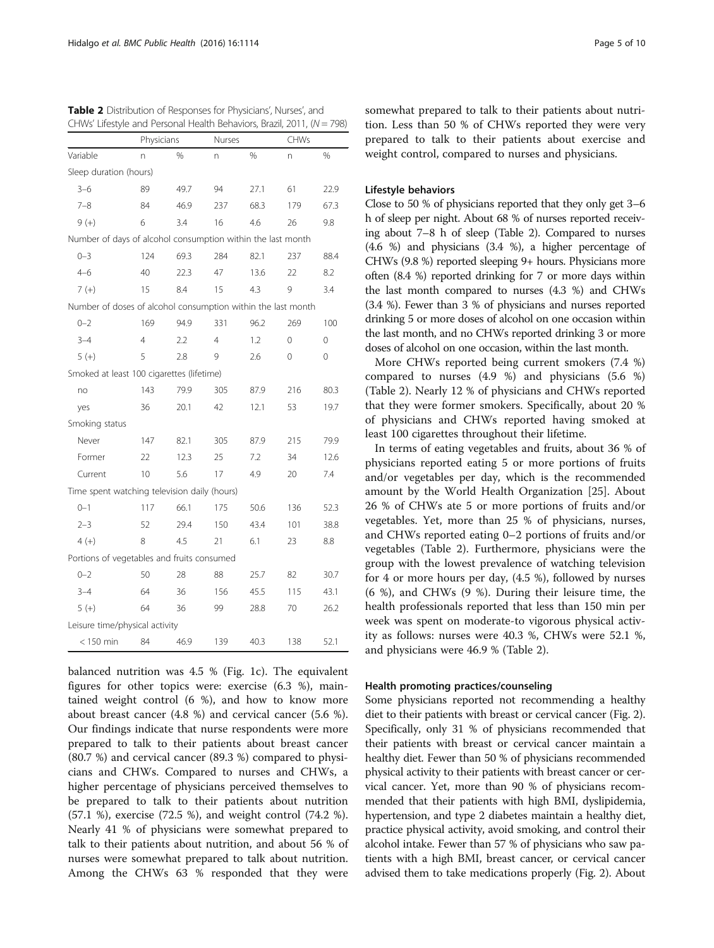<span id="page-4-0"></span>Table 2 Distribution of Responses for Physicians', Nurses', and CHWs' Lifestyle and Personal Health Behaviors, Brazil, 2011, ( $N = 798$ )

|                                                              | Physicians     |               | Nurses         |      | <b>CHWs</b> |               |  |  |  |  |  |  |
|--------------------------------------------------------------|----------------|---------------|----------------|------|-------------|---------------|--|--|--|--|--|--|
| Variable                                                     | n              | $\frac{0}{0}$ | n              | %    | n           | $\frac{0}{0}$ |  |  |  |  |  |  |
| Sleep duration (hours)                                       |                |               |                |      |             |               |  |  |  |  |  |  |
| $3 - 6$                                                      | 89             | 49.7          | 94             | 27.1 | 61          | 22.9          |  |  |  |  |  |  |
| $7 - 8$                                                      | 84             | 46.9          | 237            | 68.3 | 179         | 67.3          |  |  |  |  |  |  |
| $9 (+)$                                                      | 6              | 3.4           | 16             | 4.6  | 26          | 9.8           |  |  |  |  |  |  |
| Number of days of alcohol consumption within the last month  |                |               |                |      |             |               |  |  |  |  |  |  |
| $0 - 3$                                                      | 124            | 69.3          | 284            | 82.1 | 237         | 88.4          |  |  |  |  |  |  |
| $4 - 6$                                                      | 40             | 22.3          | 47             | 13.6 | 22          | 8.2           |  |  |  |  |  |  |
| $7 (+)$                                                      | 15             | 8.4           | 15             | 4.3  | 9           | 3.4           |  |  |  |  |  |  |
| Number of doses of alcohol consumption within the last month |                |               |                |      |             |               |  |  |  |  |  |  |
| $0 - 2$                                                      | 169            | 94.9          | 331            | 96.2 | 269         | 100           |  |  |  |  |  |  |
| $3 - 4$                                                      | $\overline{4}$ | 2.2           | $\overline{4}$ | 1.2  | $\Omega$    | 0             |  |  |  |  |  |  |
| $5(+)$                                                       | 5              | 2.8           | 9              | 2.6  | 0           | 0             |  |  |  |  |  |  |
| Smoked at least 100 cigarettes (lifetime)                    |                |               |                |      |             |               |  |  |  |  |  |  |
| no                                                           | 143            | 79.9          | 305            | 87.9 | 216         | 80.3          |  |  |  |  |  |  |
| yes                                                          | 36             | 20.1          | 42             | 12.1 | 53          | 19.7          |  |  |  |  |  |  |
| Smoking status                                               |                |               |                |      |             |               |  |  |  |  |  |  |
| Never                                                        | 147            | 82.1          | 305            | 87.9 | 215         | 79.9          |  |  |  |  |  |  |
| Former                                                       | 22             | 12.3          | 25             | 7.2  | 34          | 12.6          |  |  |  |  |  |  |
| Current                                                      | 10             | 5.6           | 17             | 4.9  | 20          | 7.4           |  |  |  |  |  |  |
| Time spent watching television daily (hours)                 |                |               |                |      |             |               |  |  |  |  |  |  |
| $0 - 1$                                                      | 117            | 66.1          | 175            | 50.6 | 136         | 52.3          |  |  |  |  |  |  |
| $2 - 3$                                                      | 52             | 29.4          | 150            | 43.4 | 101         | 38.8          |  |  |  |  |  |  |
| $4 (+)$                                                      | 8              | 4.5           | 21             | 6.1  | 23          | 8.8           |  |  |  |  |  |  |
| Portions of vegetables and fruits consumed                   |                |               |                |      |             |               |  |  |  |  |  |  |
| $0 - 2$                                                      | 50             | 28            | 88             | 25.7 | 82          | 30.7          |  |  |  |  |  |  |
| $3 - 4$                                                      | 64             | 36            | 156            | 45.5 | 115         | 43.1          |  |  |  |  |  |  |
| $5(+)$                                                       | 64             | 36            | 99             | 28.8 | 70          | 26.2          |  |  |  |  |  |  |
| Leisure time/physical activity                               |                |               |                |      |             |               |  |  |  |  |  |  |
| < 150 min                                                    | 84             | 46.9          | 139            | 40.3 | 138         | 52.1          |  |  |  |  |  |  |

balanced nutrition was 4.5 % (Fig. [1c\)](#page-5-0). The equivalent figures for other topics were: exercise (6.3 %), maintained weight control (6 %), and how to know more about breast cancer (4.8 %) and cervical cancer (5.6 %). Our findings indicate that nurse respondents were more prepared to talk to their patients about breast cancer (80.7 %) and cervical cancer (89.3 %) compared to physicians and CHWs. Compared to nurses and CHWs, a higher percentage of physicians perceived themselves to be prepared to talk to their patients about nutrition (57.1 %), exercise (72.5 %), and weight control (74.2 %). Nearly 41 % of physicians were somewhat prepared to talk to their patients about nutrition, and about 56 % of nurses were somewhat prepared to talk about nutrition. Among the CHWs 63 % responded that they were somewhat prepared to talk to their patients about nutrition. Less than 50 % of CHWs reported they were very prepared to talk to their patients about exercise and weight control, compared to nurses and physicians.

# Lifestyle behaviors

Close to 50 % of physicians reported that they only get 3–6 h of sleep per night. About 68 % of nurses reported receiving about 7–8 h of sleep (Table 2). Compared to nurses (4.6 %) and physicians (3.4 %), a higher percentage of CHWs (9.8 %) reported sleeping 9+ hours. Physicians more often (8.4 %) reported drinking for 7 or more days within the last month compared to nurses (4.3 %) and CHWs (3.4 %). Fewer than 3 % of physicians and nurses reported drinking 5 or more doses of alcohol on one occasion within the last month, and no CHWs reported drinking 3 or more doses of alcohol on one occasion, within the last month.

More CHWs reported being current smokers (7.4 %) compared to nurses (4.9 %) and physicians (5.6 %) (Table 2). Nearly 12 % of physicians and CHWs reported that they were former smokers. Specifically, about 20 % of physicians and CHWs reported having smoked at least 100 cigarettes throughout their lifetime.

In terms of eating vegetables and fruits, about 36 % of physicians reported eating 5 or more portions of fruits and/or vegetables per day, which is the recommended amount by the World Health Organization [[25](#page-9-0)]. About 26 % of CHWs ate 5 or more portions of fruits and/or vegetables. Yet, more than 25 % of physicians, nurses, and CHWs reported eating 0–2 portions of fruits and/or vegetables (Table 2). Furthermore, physicians were the group with the lowest prevalence of watching television for 4 or more hours per day, (4.5 %), followed by nurses (6 %), and CHWs (9 %). During their leisure time, the health professionals reported that less than 150 min per week was spent on moderate-to vigorous physical activity as follows: nurses were 40.3 %, CHWs were 52.1 %, and physicians were 46.9 % (Table 2).

#### Health promoting practices/counseling

Some physicians reported not recommending a healthy diet to their patients with breast or cervical cancer (Fig. [2](#page-5-0)). Specifically, only 31 % of physicians recommended that their patients with breast or cervical cancer maintain a healthy diet. Fewer than 50 % of physicians recommended physical activity to their patients with breast cancer or cervical cancer. Yet, more than 90 % of physicians recommended that their patients with high BMI, dyslipidemia, hypertension, and type 2 diabetes maintain a healthy diet, practice physical activity, avoid smoking, and control their alcohol intake. Fewer than 57 % of physicians who saw patients with a high BMI, breast cancer, or cervical cancer advised them to take medications properly (Fig. [2](#page-5-0)). About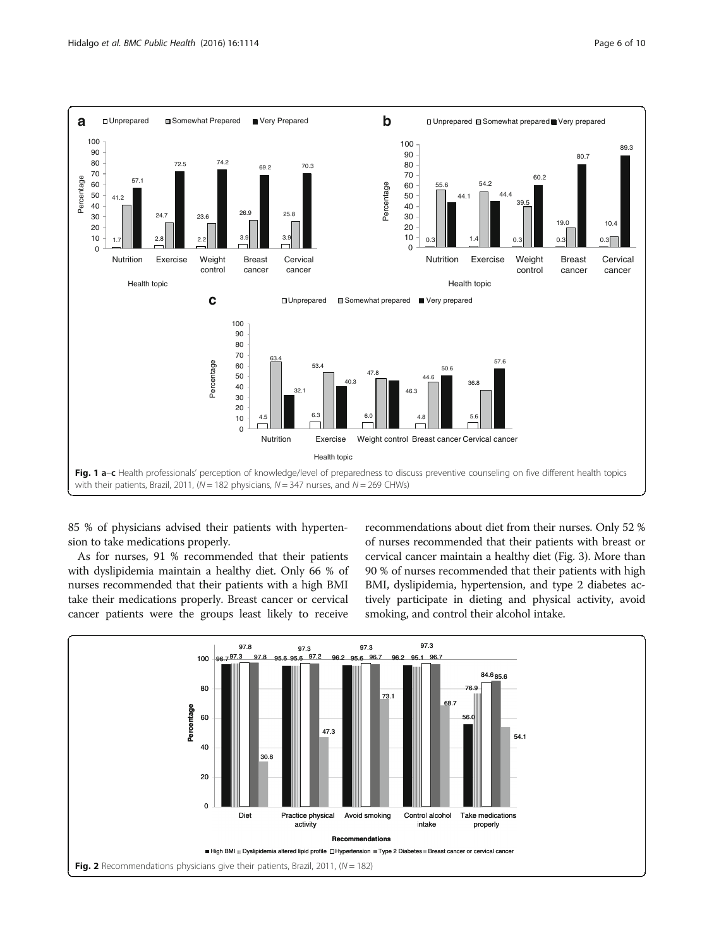<span id="page-5-0"></span>

85 % of physicians advised their patients with hypertension to take medications properly.

As for nurses, 91 % recommended that their patients with dyslipidemia maintain a healthy diet. Only 66 % of nurses recommended that their patients with a high BMI take their medications properly. Breast cancer or cervical cancer patients were the groups least likely to receive recommendations about diet from their nurses. Only 52 % of nurses recommended that their patients with breast or cervical cancer maintain a healthy diet (Fig. [3\)](#page-6-0). More than 90 % of nurses recommended that their patients with high BMI, dyslipidemia, hypertension, and type 2 diabetes actively participate in dieting and physical activity, avoid smoking, and control their alcohol intake.

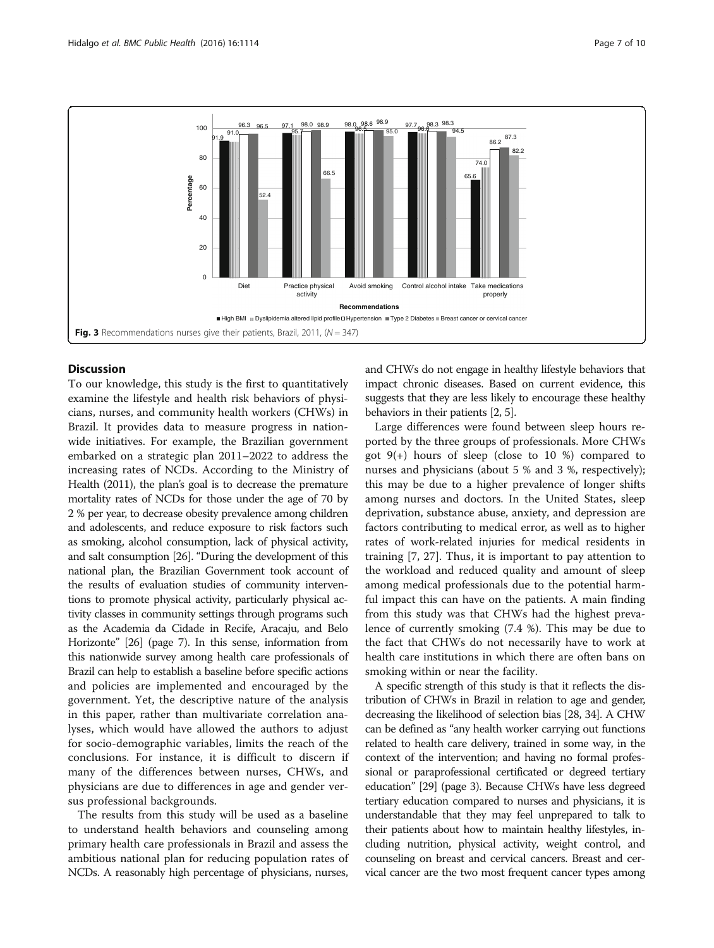<span id="page-6-0"></span>

# **Discussion**

To our knowledge, this study is the first to quantitatively examine the lifestyle and health risk behaviors of physicians, nurses, and community health workers (CHWs) in Brazil. It provides data to measure progress in nationwide initiatives. For example, the Brazilian government embarked on a strategic plan 2011–2022 to address the increasing rates of NCDs. According to the Ministry of Health (2011), the plan's goal is to decrease the premature mortality rates of NCDs for those under the age of 70 by 2 % per year, to decrease obesity prevalence among children and adolescents, and reduce exposure to risk factors such as smoking, alcohol consumption, lack of physical activity, and salt consumption [\[26](#page-9-0)]. "During the development of this national plan, the Brazilian Government took account of the results of evaluation studies of community interventions to promote physical activity, particularly physical activity classes in community settings through programs such as the Academia da Cidade in Recife, Aracaju, and Belo Horizonte" [\[26](#page-9-0)] (page 7). In this sense, information from this nationwide survey among health care professionals of Brazil can help to establish a baseline before specific actions and policies are implemented and encouraged by the government. Yet, the descriptive nature of the analysis in this paper, rather than multivariate correlation analyses, which would have allowed the authors to adjust for socio-demographic variables, limits the reach of the conclusions. For instance, it is difficult to discern if many of the differences between nurses, CHWs, and physicians are due to differences in age and gender versus professional backgrounds.

The results from this study will be used as a baseline to understand health behaviors and counseling among primary health care professionals in Brazil and assess the ambitious national plan for reducing population rates of NCDs. A reasonably high percentage of physicians, nurses, and CHWs do not engage in healthy lifestyle behaviors that impact chronic diseases. Based on current evidence, this suggests that they are less likely to encourage these healthy behaviors in their patients [[2, 5\]](#page-8-0).

Large differences were found between sleep hours reported by the three groups of professionals. More CHWs got  $9(+)$  hours of sleep (close to 10 %) compared to nurses and physicians (about 5 % and 3 %, respectively); this may be due to a higher prevalence of longer shifts among nurses and doctors. In the United States, sleep deprivation, substance abuse, anxiety, and depression are factors contributing to medical error, as well as to higher rates of work-related injuries for medical residents in training [\[7](#page-8-0), [27](#page-9-0)]. Thus, it is important to pay attention to the workload and reduced quality and amount of sleep among medical professionals due to the potential harmful impact this can have on the patients. A main finding from this study was that CHWs had the highest prevalence of currently smoking (7.4 %). This may be due to the fact that CHWs do not necessarily have to work at health care institutions in which there are often bans on smoking within or near the facility.

A specific strength of this study is that it reflects the distribution of CHWs in Brazil in relation to age and gender, decreasing the likelihood of selection bias [[28](#page-9-0), [34](#page-9-0)]. A CHW can be defined as "any health worker carrying out functions related to health care delivery, trained in some way, in the context of the intervention; and having no formal professional or paraprofessional certificated or degreed tertiary education" [[29\]](#page-9-0) (page 3). Because CHWs have less degreed tertiary education compared to nurses and physicians, it is understandable that they may feel unprepared to talk to their patients about how to maintain healthy lifestyles, including nutrition, physical activity, weight control, and counseling on breast and cervical cancers. Breast and cervical cancer are the two most frequent cancer types among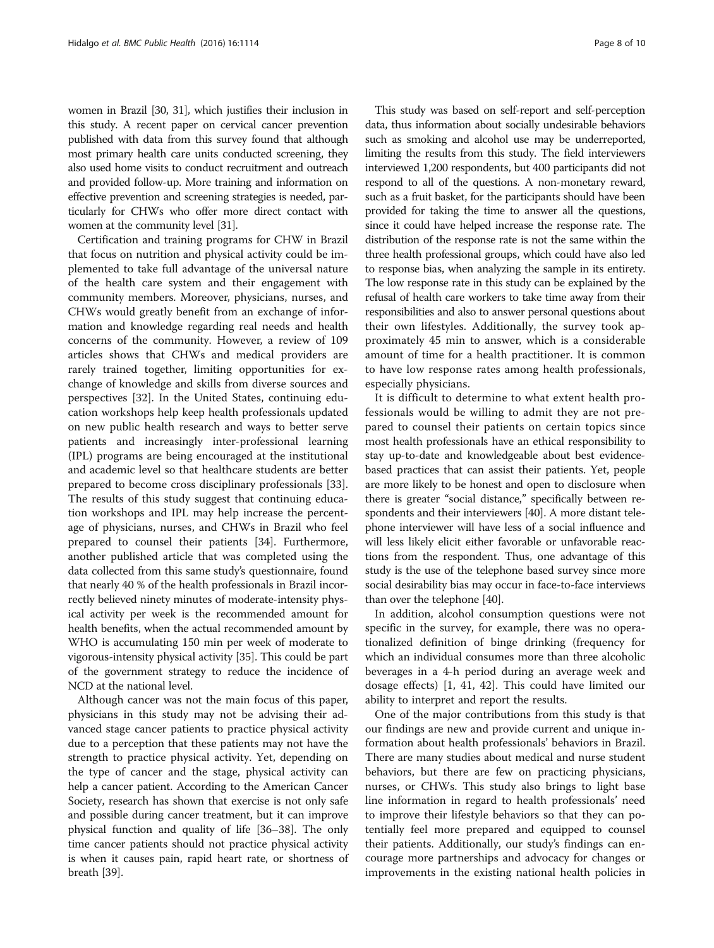women in Brazil [\[30, 31\]](#page-9-0), which justifies their inclusion in this study. A recent paper on cervical cancer prevention published with data from this survey found that although most primary health care units conducted screening, they also used home visits to conduct recruitment and outreach and provided follow-up. More training and information on effective prevention and screening strategies is needed, particularly for CHWs who offer more direct contact with women at the community level [\[31\]](#page-9-0).

Certification and training programs for CHW in Brazil that focus on nutrition and physical activity could be implemented to take full advantage of the universal nature of the health care system and their engagement with community members. Moreover, physicians, nurses, and CHWs would greatly benefit from an exchange of information and knowledge regarding real needs and health concerns of the community. However, a review of 109 articles shows that CHWs and medical providers are rarely trained together, limiting opportunities for exchange of knowledge and skills from diverse sources and perspectives [\[32](#page-9-0)]. In the United States, continuing education workshops help keep health professionals updated on new public health research and ways to better serve patients and increasingly inter-professional learning (IPL) programs are being encouraged at the institutional and academic level so that healthcare students are better prepared to become cross disciplinary professionals [\[33](#page-9-0)]. The results of this study suggest that continuing education workshops and IPL may help increase the percentage of physicians, nurses, and CHWs in Brazil who feel prepared to counsel their patients [\[34](#page-9-0)]. Furthermore, another published article that was completed using the data collected from this same study's questionnaire, found that nearly 40 % of the health professionals in Brazil incorrectly believed ninety minutes of moderate-intensity physical activity per week is the recommended amount for health benefits, when the actual recommended amount by WHO is accumulating 150 min per week of moderate to vigorous-intensity physical activity [[35](#page-9-0)]. This could be part of the government strategy to reduce the incidence of NCD at the national level.

Although cancer was not the main focus of this paper, physicians in this study may not be advising their advanced stage cancer patients to practice physical activity due to a perception that these patients may not have the strength to practice physical activity. Yet, depending on the type of cancer and the stage, physical activity can help a cancer patient. According to the American Cancer Society, research has shown that exercise is not only safe and possible during cancer treatment, but it can improve physical function and quality of life [\[36](#page-9-0)–[38](#page-9-0)]. The only time cancer patients should not practice physical activity is when it causes pain, rapid heart rate, or shortness of breath [\[39\]](#page-9-0).

This study was based on self-report and self-perception data, thus information about socially undesirable behaviors such as smoking and alcohol use may be underreported, limiting the results from this study. The field interviewers interviewed 1,200 respondents, but 400 participants did not respond to all of the questions. A non-monetary reward, such as a fruit basket, for the participants should have been provided for taking the time to answer all the questions, since it could have helped increase the response rate. The distribution of the response rate is not the same within the three health professional groups, which could have also led to response bias, when analyzing the sample in its entirety. The low response rate in this study can be explained by the refusal of health care workers to take time away from their responsibilities and also to answer personal questions about their own lifestyles. Additionally, the survey took approximately 45 min to answer, which is a considerable amount of time for a health practitioner. It is common to have low response rates among health professionals, especially physicians.

It is difficult to determine to what extent health professionals would be willing to admit they are not prepared to counsel their patients on certain topics since most health professionals have an ethical responsibility to stay up-to-date and knowledgeable about best evidencebased practices that can assist their patients. Yet, people are more likely to be honest and open to disclosure when there is greater "social distance," specifically between respondents and their interviewers [[40\]](#page-9-0). A more distant telephone interviewer will have less of a social influence and will less likely elicit either favorable or unfavorable reactions from the respondent. Thus, one advantage of this study is the use of the telephone based survey since more social desirability bias may occur in face-to-face interviews than over the telephone [\[40](#page-9-0)].

In addition, alcohol consumption questions were not specific in the survey, for example, there was no operationalized definition of binge drinking (frequency for which an individual consumes more than three alcoholic beverages in a 4-h period during an average week and dosage effects) [\[1](#page-8-0), [41](#page-9-0), [42](#page-9-0)]. This could have limited our ability to interpret and report the results.

One of the major contributions from this study is that our findings are new and provide current and unique information about health professionals' behaviors in Brazil. There are many studies about medical and nurse student behaviors, but there are few on practicing physicians, nurses, or CHWs. This study also brings to light base line information in regard to health professionals' need to improve their lifestyle behaviors so that they can potentially feel more prepared and equipped to counsel their patients. Additionally, our study's findings can encourage more partnerships and advocacy for changes or improvements in the existing national health policies in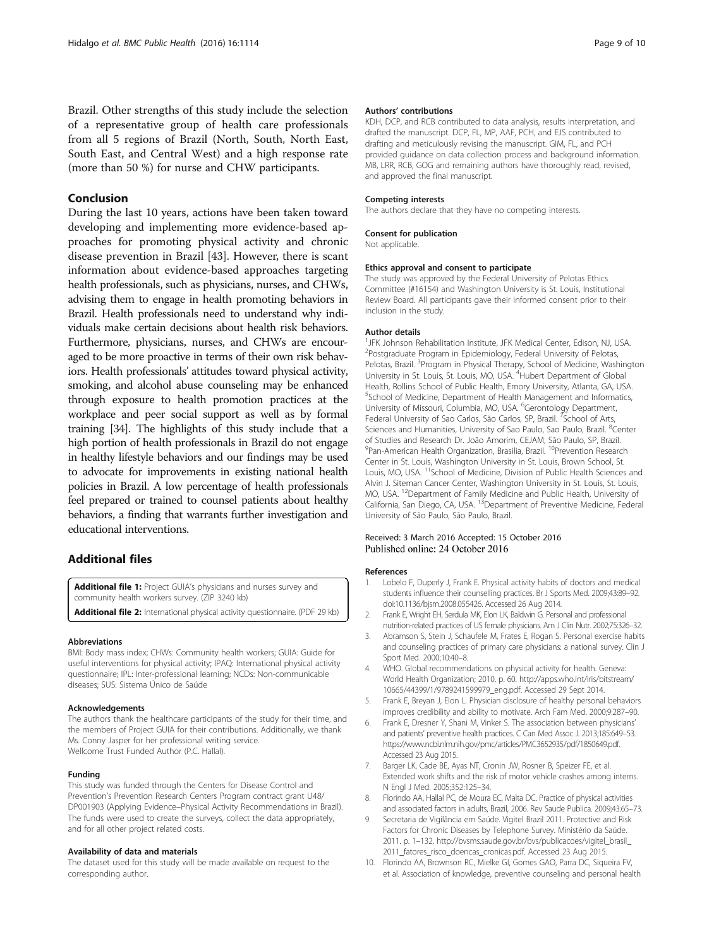<span id="page-8-0"></span>Brazil. Other strengths of this study include the selection of a representative group of health care professionals from all 5 regions of Brazil (North, South, North East, South East, and Central West) and a high response rate (more than 50 %) for nurse and CHW participants.

# Conclusion

During the last 10 years, actions have been taken toward developing and implementing more evidence-based approaches for promoting physical activity and chronic disease prevention in Brazil [\[43](#page-9-0)]. However, there is scant information about evidence-based approaches targeting health professionals, such as physicians, nurses, and CHWs, advising them to engage in health promoting behaviors in Brazil. Health professionals need to understand why individuals make certain decisions about health risk behaviors. Furthermore, physicians, nurses, and CHWs are encouraged to be more proactive in terms of their own risk behaviors. Health professionals' attitudes toward physical activity, smoking, and alcohol abuse counseling may be enhanced through exposure to health promotion practices at the workplace and peer social support as well as by formal training [[34](#page-9-0)]. The highlights of this study include that a high portion of health professionals in Brazil do not engage in healthy lifestyle behaviors and our findings may be used to advocate for improvements in existing national health policies in Brazil. A low percentage of health professionals feel prepared or trained to counsel patients about healthy behaviors, a finding that warrants further investigation and educational interventions.

# Additional files

[Additional file 1:](dx.doi.org/10.1186/s12889-016-3778-2) Project GUIA's physicians and nurses survey and community health workers survey. (ZIP 3240 kb)

[Additional file 2:](dx.doi.org/10.1186/s12889-016-3778-2) International physical activity questionnaire. (PDF 29 kb)

#### Abbreviations

BMI: Body mass index; CHWs: Community health workers; GUIA: Guide for useful interventions for physical activity; IPAQ: International physical activity questionnaire; IPL: Inter-professional learning; NCDs: Non-communicable diseases; SUS: Sistema Único de Saúde

#### Acknowledgements

The authors thank the healthcare participants of the study for their time, and the members of Project GUIA for their contributions. Additionally, we thank Ms. Conny Jasper for her professional writing service. Wellcome Trust Funded Author (P.C. Hallal).

#### Funding

This study was funded through the Centers for Disease Control and Prevention's Prevention Research Centers Program contract grant U48/ DP001903 (Applying Evidence–Physical Activity Recommendations in Brazil). The funds were used to create the surveys, collect the data appropriately, and for all other project related costs.

#### Availability of data and materials

The dataset used for this study will be made available on request to the corresponding author.

#### Authors' contributions

KDH, DCP, and RCB contributed to data analysis, results interpretation, and drafted the manuscript. DCP, FL, MP, AAF, PCH, and EJS contributed to drafting and meticulously revising the manuscript. GIM, FL, and PCH provided guidance on data collection process and background information. MB, LRR, RCB, GOG and remaining authors have thoroughly read, revised, and approved the final manuscript.

#### Competing interests

The authors declare that they have no competing interests.

# Consent for publication

Not applicable.

#### Ethics approval and consent to participate

The study was approved by the Federal University of Pelotas Ethics Committee (#16154) and Washington University is St. Louis, Institutional Review Board. All participants gave their informed consent prior to their inclusion in the study.

#### Author details

<sup>1</sup>JFK Johnson Rehabilitation Institute, JFK Medical Center, Edison, NJ, USA. 2 Postgraduate Program in Epidemiology, Federal University of Pelotas, Pelotas, Brazil. <sup>3</sup>Program in Physical Therapy, School of Medicine, Washington University in St. Louis, St. Louis, MO, USA. <sup>4</sup>Hubert Department of Global Health, Rollins School of Public Health, Emory University, Atlanta, GA, USA. 5 School of Medicine, Department of Health Management and Informatics, University of Missouri, Columbia, MO, USA. <sup>6</sup>Gerontology Department Federal University of Sao Carlos, São Carlos, SP, Brazil. <sup>7</sup>School of Arts, Sciences and Humanities, University of Sao Paulo, Sao Paulo, Brazil. <sup>8</sup>Center of Studies and Research Dr. João Amorim, CEJAM, São Paulo, SP, Brazil. <sup>9</sup>Pan-American Health Organization, Brasilia, Brazil. <sup>10</sup>Prevention Research Center in St. Louis, Washington University in St. Louis, Brown School, St. Louis, MO, USA. <sup>11</sup>School of Medicine, Division of Public Health Sciences and Alvin J. Siteman Cancer Center, Washington University in St. Louis, St. Louis, MO, USA. 12Department of Family Medicine and Public Health, University of California, San Diego, CA, USA. <sup>13</sup>Department of Preventive Medicine, Federal University of São Paulo, São Paulo, Brazil.

# Received: 3 March 2016 Accepted: 15 October 2016 Published online: 24 October 2016

#### References

- 1. Lobelo F, Duperly J, Frank E. Physical activity habits of doctors and medical students influence their counselling practices. Br J Sports Med. 2009;43:89–92. doi:[10.1136/bjsm.2008.055426.](http://dx.doi.org/10.1136/bjsm.2008.055426) Accessed 26 Aug 2014.
- 2. Frank E, Wright EH, Serdula MK, Elon LK, Baldwin G. Personal and professional nutrition-related practices of US female physicians. Am J Clin Nutr. 2002;75:326–32.
- 3. Abramson S, Stein J, Schaufele M, Frates E, Rogan S. Personal exercise habits and counseling practices of primary care physicians: a national survey. Clin J Sport Med. 2000;10:40–8.
- 4. WHO. Global recommendations on physical activity for health. Geneva: World Health Organization; 2010. p. 60. [http://apps.who.int/iris/bitstream/](http://apps.who.int/iris/bitstream/10665/44399/1/9789241599979_eng.pdf) [10665/44399/1/9789241599979\\_eng.pdf](http://apps.who.int/iris/bitstream/10665/44399/1/9789241599979_eng.pdf). Accessed 29 Sept 2014.
- 5. Frank E, Breyan J, Elon L. Physician disclosure of healthy personal behaviors improves credibility and ability to motivate. Arch Fam Med. 2000;9:287–90.
- 6. Frank E, Dresner Y, Shani M, Vinker S. The association between physicians' and patients' preventive health practices. C Can Med Assoc J. 2013;185:649–53. <https://www.ncbi.nlm.nih.gov/pmc/articles/PMC3652935/pdf/1850649.pdf>. Accessed 23 Aug 2015.
- 7. Barger LK, Cade BE, Ayas NT, Cronin JW, Rosner B, Speizer FE, et al. Extended work shifts and the risk of motor vehicle crashes among interns. N Engl J Med. 2005;352:125–34.
- 8. Florindo AA, Hallal PC, de Moura EC, Malta DC. Practice of physical activities and associated factors in adults, Brazil, 2006. Rev Saude Publica. 2009;43:65–73.
- 9. Secretaria de Vigilância em Saúde. Vigitel Brazil 2011. Protective and Risk Factors for Chronic Diseases by Telephone Survey. Ministério da Saúde. 2011. p. 1–132. [http://bvsms.saude.gov.br/bvs/publicacoes/vigitel\\_brasil\\_](http://bvsms.saude.gov.br/bvs/publicacoes/vigitel_brasil_2011_fatores_risco_doencas_cronicas.pdf) [2011\\_fatores\\_risco\\_doencas\\_cronicas.pdf](http://bvsms.saude.gov.br/bvs/publicacoes/vigitel_brasil_2011_fatores_risco_doencas_cronicas.pdf). Accessed 23 Aug 2015.
- 10. Florindo AA, Brownson RC, Mielke GI, Gomes GAO, Parra DC, Siqueira FV, et al. Association of knowledge, preventive counseling and personal health